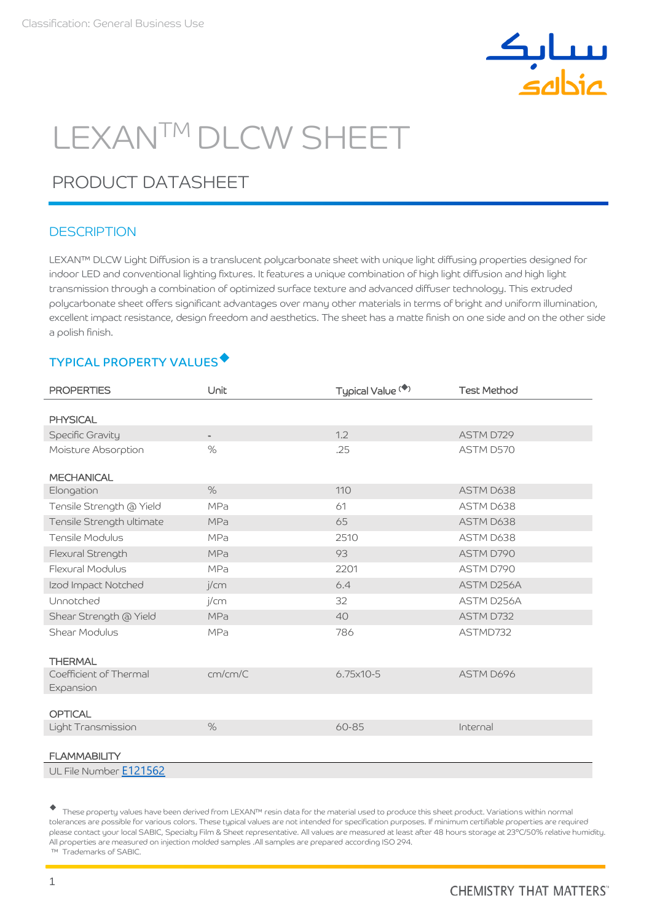

# LEXANTM DLCW SHEET

## PRODUCT DATASHEET

## **DESCRIPTION**

LEXAN™ DLCW Light Diffusion is a translucent polycarbonate sheet with unique light diffusing properties designed for indoor LED and conventional lighting fixtures. It features a unique combination of high light diffusion and high light transmission through a combination of optimized surface texture and advanced diffuser technology. This extruded polycarbonate sheet offers significant advantages over many other materials in terms of bright and uniform illumination, excellent impact resistance, design freedom and aesthetics. The sheet has a matte finish on one side and on the other side a polish finish.

## TYPICAL PROPERTY VALUES

| <b>PROPERTIES</b>         | Unit           | Typical Value <sup>(*)</sup> | <b>Test Method</b> |
|---------------------------|----------------|------------------------------|--------------------|
|                           |                |                              |                    |
| <b>PHYSICAL</b>           |                |                              |                    |
| Specific Gravity          | $\blacksquare$ | 1.2                          | ASTM D729          |
| Moisture Absorption       | $\%$           | .25                          | ASTM D570          |
| <b>MECHANICAL</b>         |                |                              |                    |
| Elongation                | $\%$           | 110                          | ASTM D638          |
| Tensile Strength @ Yield  | <b>MPa</b>     | 61                           | ASTM D638          |
| Tensile Strength ultimate | MPa            | 65                           | ASTM D638          |
| Tensile Modulus           | MPa            | 2510                         | ASTM D638          |
| Flexural Strength         | <b>MPa</b>     | 93                           | ASTM D790          |
| <b>Flexural Modulus</b>   | <b>MPa</b>     | 2201                         | ASTM D790          |
| Izod Impact Notched       | j/cm           | 6.4                          | ASTM D256A         |
| Unnotched                 | j/cm           | 32                           | ASTM D256A         |
| Shear Strength @ Yield    | MPa            | 40                           | ASTM D732          |
| Shear Modulus             | <b>MPa</b>     | 786                          | ASTMD732           |
|                           |                |                              |                    |
| <b>THERMAL</b>            |                |                              |                    |
| Coefficient of Thermal    | cm/cm/C        | 6.75x10-5                    | ASTM D696          |
| Expansion                 |                |                              |                    |
| <b>OPTICAL</b>            |                |                              |                    |
| Light Transmission        | $\%$           | 60-85                        | Internal           |
|                           |                |                              |                    |
| <b>FLAMMABILITY</b>       |                |                              |                    |
| UL File Number E121562    |                |                              |                    |

 These property values have been derived from LEXAN™ resin data for the material used to produce this sheet product. Variations within normal tolerances are possible for various colors. These typical values are not intended for specification purposes. If minimum certifiable properties are required please contact your local SABIC, Specialty Film & Sheet representative. All values are measured at least after 48 hours storage at 23°C/50% relative humidity. All properties are measured on injection molded samples .All samples are prepared according ISO 294. ™ Trademarks of SABIC.